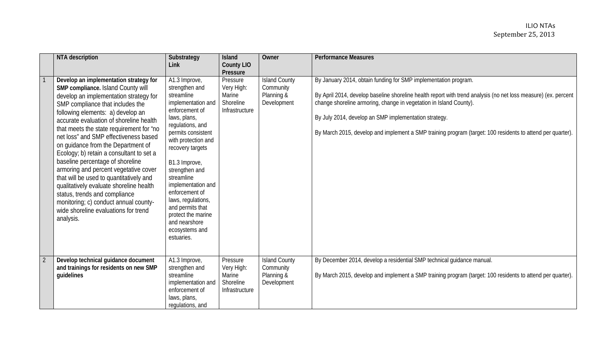| <b>NTA</b> description                                                                                                                                                                                                                                                                                                                                                                                                                                                                                                                                                                                                                                                                                              | Substrategy<br>Link                                                                                                                                                                                                                                                                                                                                                                                  | <b>Island</b><br><b>County LIO</b><br>Pressure                  | Owner                                                          | <b>Performance Measures</b>                                                                                                                                                                                                                                                                                                                                                                                                    |
|---------------------------------------------------------------------------------------------------------------------------------------------------------------------------------------------------------------------------------------------------------------------------------------------------------------------------------------------------------------------------------------------------------------------------------------------------------------------------------------------------------------------------------------------------------------------------------------------------------------------------------------------------------------------------------------------------------------------|------------------------------------------------------------------------------------------------------------------------------------------------------------------------------------------------------------------------------------------------------------------------------------------------------------------------------------------------------------------------------------------------------|-----------------------------------------------------------------|----------------------------------------------------------------|--------------------------------------------------------------------------------------------------------------------------------------------------------------------------------------------------------------------------------------------------------------------------------------------------------------------------------------------------------------------------------------------------------------------------------|
| Develop an implementation strategy for<br>SMP compliance. Island County will<br>develop an implementation strategy for<br>SMP compliance that includes the<br>following elements: a) develop an<br>accurate evaluation of shoreline health<br>that meets the state requirement for "no<br>net loss" and SMP effectiveness based<br>on guidance from the Department of<br>Ecology; b) retain a consultant to set a<br>baseline percentage of shoreline<br>armoring and percent vegetative cover<br>that will be used to quantitatively and<br>qualitatively evaluate shoreline health<br>status, trends and compliance<br>monitoring; c) conduct annual county-<br>wide shoreline evaluations for trend<br>analysis. | A1.3 Improve,<br>strengthen and<br>streamline<br>implementation and<br>enforcement of<br>laws, plans,<br>regulations, and<br>permits consistent<br>with protection and<br>recovery targets<br>B1.3 Improve,<br>strengthen and<br>streamline<br>implementation and<br>enforcement of<br>laws, regulations,<br>and permits that<br>protect the marine<br>and nearshore<br>ecosystems and<br>estuaries. | Pressure<br>Very High:<br>Marine<br>Shoreline<br>Infrastructure | <b>Island County</b><br>Community<br>Planning &<br>Development | By January 2014, obtain funding for SMP implementation program.<br>By April 2014, develop baseline shoreline health report with trend analysis (no net loss measure) (ex. percent<br>change shoreline armoring, change in vegetation in Island County).<br>By July 2014, develop an SMP implementation strategy.<br>By March 2015, develop and implement a SMP training program (target: 100 residents to attend per quarter). |
| Develop technical guidance document<br>and trainings for residents on new SMP<br>guidelines                                                                                                                                                                                                                                                                                                                                                                                                                                                                                                                                                                                                                         | A1.3 Improve,<br>strengthen and<br>streamline<br>implementation and<br>enforcement of<br>laws, plans,<br>regulations, and                                                                                                                                                                                                                                                                            | Pressure<br>Very High:<br>Marine<br>Shoreline<br>Infrastructure | <b>Island County</b><br>Community<br>Planning &<br>Development | By December 2014, develop a residential SMP technical guidance manual.<br>By March 2015, develop and implement a SMP training program (target: 100 residents to attend per quarter).                                                                                                                                                                                                                                           |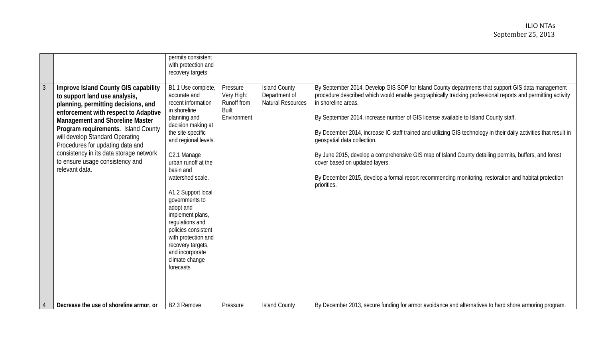|                |                                                                                                                                                                                                                                                                                                                                                                                                       | permits consistent<br>with protection and<br>recovery targets                                                                                                                                                                                                                                                                                                                                                                                       |                                                                      |                                                                   |                                                                                                                                                                                                                                                                                                                                                                                                                                                                                                                                                                                                                                                                                                                                                       |
|----------------|-------------------------------------------------------------------------------------------------------------------------------------------------------------------------------------------------------------------------------------------------------------------------------------------------------------------------------------------------------------------------------------------------------|-----------------------------------------------------------------------------------------------------------------------------------------------------------------------------------------------------------------------------------------------------------------------------------------------------------------------------------------------------------------------------------------------------------------------------------------------------|----------------------------------------------------------------------|-------------------------------------------------------------------|-------------------------------------------------------------------------------------------------------------------------------------------------------------------------------------------------------------------------------------------------------------------------------------------------------------------------------------------------------------------------------------------------------------------------------------------------------------------------------------------------------------------------------------------------------------------------------------------------------------------------------------------------------------------------------------------------------------------------------------------------------|
| $\overline{3}$ | Improve Island County GIS capability<br>to support land use analysis,<br>planning, permitting decisions, and<br>enforcement with respect to Adaptive<br>Management and Shoreline Master<br>Program requirements. Island County<br>will develop Standard Operating<br>Procedures for updating data and<br>consistency in its data storage network<br>to ensure usage consistency and<br>relevant data. | B1.1 Use complete,<br>accurate and<br>recent information<br>in shoreline<br>planning and<br>decision making at<br>the site-specific<br>and regional levels.<br>C2.1 Manage<br>urban runoff at the<br>basin and<br>watershed scale.<br>A1.2 Support local<br>governments to<br>adopt and<br>implement plans,<br>regulations and<br>policies consistent<br>with protection and<br>recovery targets,<br>and incorporate<br>climate change<br>forecasts | Pressure<br>Very High:<br>Runoff from<br><b>Built</b><br>Environment | <b>Island County</b><br>Department of<br><b>Natural Resources</b> | By September 2014, Develop GIS SOP for Island County departments that support GIS data management<br>procedure described which would enable geographically tracking professional reports and permitting activity<br>in shoreline areas.<br>By September 2014, increase number of GIS license available to Island County staff.<br>By December 2014, increase IC staff trained and utilizing GIS technology in their daily activities that result in<br>geospatial data collection.<br>By June 2015, develop a comprehensive GIS map of Island County detailing permits, buffers, and forest<br>cover based on updated layers.<br>By December 2015, develop a formal report recommending monitoring, restoration and habitat protection<br>priorities. |
| $\overline{4}$ | Decrease the use of shoreline armor, or                                                                                                                                                                                                                                                                                                                                                               | B2.3 Remove                                                                                                                                                                                                                                                                                                                                                                                                                                         | Pressure                                                             | <b>Island County</b>                                              | By December 2013, secure funding for armor avoidance and alternatives to hard shore armoring program.                                                                                                                                                                                                                                                                                                                                                                                                                                                                                                                                                                                                                                                 |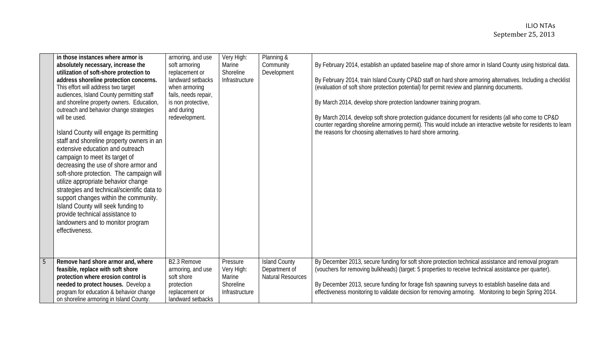## ILIO NTAs September 25, 2013

|                | in those instances where armor is<br>absolutely necessary, increase the<br>utilization of soft-shore protection to<br>address shoreline protection concerns.<br>This effort will address two target<br>audiences, Island County permitting staff<br>and shoreline property owners. Education,<br>outreach and behavior change strategies<br>will be used.<br>Island County will engage its permitting<br>staff and shoreline property owners in an<br>extensive education and outreach<br>campaign to meet its target of<br>decreasing the use of shore armor and<br>soft-shore protection. The campaign will<br>utilize appropriate behavior change<br>strategies and technical/scientific data to<br>support changes within the community.<br>Island County will seek funding to<br>provide technical assistance to<br>landowners and to monitor program<br>effectiveness. | armoring, and use<br>soft armoring<br>replacement or<br>landward setbacks<br>when armoring<br>fails, needs repair,<br>is non protective,<br>and during<br>redevelopment. | Very High:<br>Marine<br>Shoreline<br>Infrastructure             | Planning &<br>Community<br>Development                            | By February 2014, establish an updated baseline map of shore armor in Island County using historical data.<br>By February 2014, train Island County CP&D staff on hard shore armoring alternatives. Including a checklist<br>(evaluation of soft shore protection potential) for permit review and planning documents.<br>By March 2014, develop shore protection landowner training program.<br>By March 2014, develop soft shore protection guidance document for residents (all who come to CP&D<br>counter regarding shoreline armoring permit). This would include an interactive website for residents to learn<br>the reasons for choosing alternatives to hard shore armoring. |
|----------------|------------------------------------------------------------------------------------------------------------------------------------------------------------------------------------------------------------------------------------------------------------------------------------------------------------------------------------------------------------------------------------------------------------------------------------------------------------------------------------------------------------------------------------------------------------------------------------------------------------------------------------------------------------------------------------------------------------------------------------------------------------------------------------------------------------------------------------------------------------------------------|--------------------------------------------------------------------------------------------------------------------------------------------------------------------------|-----------------------------------------------------------------|-------------------------------------------------------------------|----------------------------------------------------------------------------------------------------------------------------------------------------------------------------------------------------------------------------------------------------------------------------------------------------------------------------------------------------------------------------------------------------------------------------------------------------------------------------------------------------------------------------------------------------------------------------------------------------------------------------------------------------------------------------------------|
| $\overline{5}$ | Remove hard shore armor and, where<br>feasible, replace with soft shore<br>protection where erosion control is<br>needed to protect houses. Develop a<br>program for education & behavior change<br>on shoreline armoring in Island County.                                                                                                                                                                                                                                                                                                                                                                                                                                                                                                                                                                                                                                  | B2.3 Remove<br>armoring, and use<br>soft shore<br>protection<br>replacement or<br>landward setbacks                                                                      | Pressure<br>Very High:<br>Marine<br>Shoreline<br>Infrastructure | <b>Island County</b><br>Department of<br><b>Natural Resources</b> | By December 2013, secure funding for soft shore protection technical assistance and removal program<br>(vouchers for removing bulkheads) (target: 5 properties to receive technical assistance per quarter).<br>By December 2013, secure funding for forage fish spawning surveys to establish baseline data and<br>effectiveness monitoring to validate decision for removing armoring. Monitoring to begin Spring 2014.                                                                                                                                                                                                                                                              |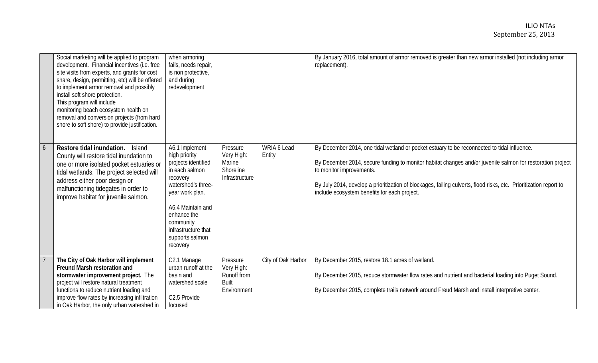|   | Social marketing will be applied to program<br>development. Financial incentives (i.e. free<br>site visits from experts, and grants for cost<br>share, design, permitting, etc) will be offered<br>to implement armor removal and possibly<br>install soft shore protection.<br>This program will include<br>monitoring beach ecosystem health on<br>removal and conversion projects (from hard<br>shore to soft shore) to provide justification. | when armoring<br>fails, needs repair,<br>is non protective,<br>and during<br>redevelopment                                                                                                                                           |                                                                 |                       | By January 2016, total amount of armor removed is greater than new armor installed (not including armor<br>replacement).                                                                                                                                                                                                                                                                                   |
|---|---------------------------------------------------------------------------------------------------------------------------------------------------------------------------------------------------------------------------------------------------------------------------------------------------------------------------------------------------------------------------------------------------------------------------------------------------|--------------------------------------------------------------------------------------------------------------------------------------------------------------------------------------------------------------------------------------|-----------------------------------------------------------------|-----------------------|------------------------------------------------------------------------------------------------------------------------------------------------------------------------------------------------------------------------------------------------------------------------------------------------------------------------------------------------------------------------------------------------------------|
| 6 | Restore tidal inundation.<br><b>Island</b><br>County will restore tidal inundation to<br>one or more isolated pocket estuaries or<br>tidal wetlands. The project selected will<br>address either poor design or<br>malfunctioning tidegates in order to<br>improve habitat for juvenile salmon.                                                                                                                                                   | A6.1 Implement<br>high priority<br>projects identified<br>in each salmon<br>recovery<br>watershed's three-<br>year work plan.<br>A6.4 Maintain and<br>enhance the<br>community<br>infrastructure that<br>supports salmon<br>recovery | Pressure<br>Very High:<br>Marine<br>Shoreline<br>Infrastructure | WRIA 6 Lead<br>Entity | By December 2014, one tidal wetland or pocket estuary to be reconnected to tidal influence.<br>By December 2014, secure funding to monitor habitat changes and/or juvenile salmon for restoration project<br>to monitor improvements.<br>By July 2014, develop a prioritization of blockages, failing culverts, flood risks, etc. Prioritization report to<br>include ecosystem benefits for each project. |
|   | The City of Oak Harbor will implement<br>Freund Marsh restoration and<br>stormwater improvement project. The<br>project will restore natural treatment<br>functions to reduce nutrient loading and<br>improve flow rates by increasing infiltration<br>in Oak Harbor, the only urban watershed in                                                                                                                                                 | C2.1 Manage<br>urban runoff at the<br>basin and<br>watershed scale<br>C2.5 Provide<br>focused                                                                                                                                        | Pressure<br>Very High:<br>Runoff from<br>Built<br>Environment   | City of Oak Harbor    | By December 2015, restore 18.1 acres of wetland.<br>By December 2015, reduce stormwater flow rates and nutrient and bacterial loading into Puget Sound.<br>By December 2015, complete trails network around Freud Marsh and install interpretive center.                                                                                                                                                   |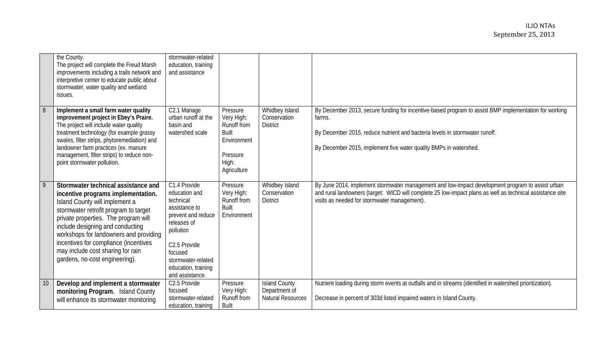|    | the County.<br>The project will complete the Freud Marsh<br>improvements including a trails network and<br>interpretive center to educate public about<br>stormwater, water quality and wetland<br>issues.                                                                                                                                                                                 | stormwater-related<br>education, training<br>and assistance                                                                                                                                              |                                                                                                          |                                                                   |                                                                                                                                                                                                                                                                     |
|----|--------------------------------------------------------------------------------------------------------------------------------------------------------------------------------------------------------------------------------------------------------------------------------------------------------------------------------------------------------------------------------------------|----------------------------------------------------------------------------------------------------------------------------------------------------------------------------------------------------------|----------------------------------------------------------------------------------------------------------|-------------------------------------------------------------------|---------------------------------------------------------------------------------------------------------------------------------------------------------------------------------------------------------------------------------------------------------------------|
| 8  | Implement a small farm water quality<br>improvement project in Ebey's Praire.<br>The project will include water quality<br>treatment technology (for example grassy<br>swales, filter strips, phytoremediation) and<br>landowner farm practices (ex. manure<br>management, filter strips) to reduce non-<br>point stormwater pollution.                                                    | C2.1 Manage<br>urban runoff at the<br>basin and<br>watershed scale                                                                                                                                       | Pressure<br>Very High:<br>Runoff from<br><b>Built</b><br>Environment<br>Pressure<br>High:<br>Agriculture | Whidbey Island<br>Conservation<br><b>District</b>                 | By December 2013, secure funding for incentive-based program to assist BMP implementation for working<br>farms.<br>By December 2015, reduce nutrient and bacteria levels in stormwater runoff.<br>By December 2015, implement five water quality BMPs in watershed. |
| 9  | Stormwater technical assistance and<br>incentive programs implementation.<br>Island County will implement a<br>stormwater retrofit program to target<br>private properties. The program will<br>include designing and conducting<br>workshops for landowners and providing<br>incentives for compliance (incentives<br>may include cost sharing for rain<br>gardens, no-cost engineering). | C1.4 Provide<br>education and<br>technical<br>assistance to<br>prevent and reduce<br>releases of<br>pollution<br>C2.5 Provide<br>focused<br>stormwater-related<br>education, training<br>and assistance. | Pressure<br>Very High:<br>Runoff from<br><b>Built</b><br>Environment                                     | Whidbey Island<br>Conservation<br><b>District</b>                 | By June 2014, implement stormwater management and low-impact development program to assist urban<br>and rural landowners (target: WICD will complete 25 low-impact plans as well as technical assistance site<br>visits as needed for stormwater management).       |
| 10 | Develop and implement a stormwater<br>monitoring Program. Island County<br>will enhance its stormwater monitoring                                                                                                                                                                                                                                                                          | C2.5 Provide<br>focused<br>stormwater-related<br>education, training                                                                                                                                     | Pressure<br>Very High:<br>Runoff from<br><b>Built</b>                                                    | <b>Island County</b><br>Department of<br><b>Natural Resources</b> | Nutrient loading during storm events at outfalls and in streams (identified in watershed prioritization).<br>Decrease in percent of 303d listed impaired waters in Island County.                                                                                   |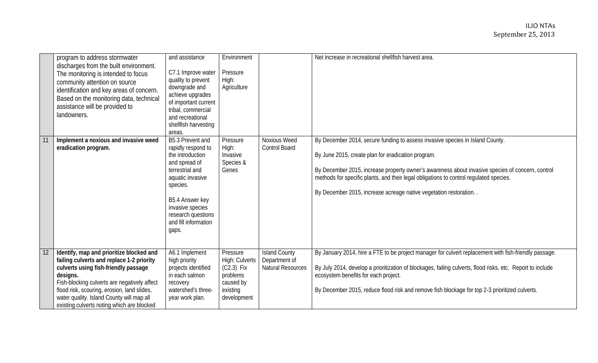|    | program to address stormwater<br>discharges from the built environment.<br>The monitoring is intended to focus<br>community attention on source<br>identification and key areas of concern.<br>Based on the monitoring data, technical<br>assistance will be provided to<br>landowners.                                             | and assistance<br>C7.1 Improve water<br>quality to prevent<br>downgrade and<br>achieve upgrades<br>of important current<br>tribal, commercial<br>and recreational<br>shellfish harvesting<br>areas.                          | Environment<br>Pressure<br>High:<br>Agriculture                                                |                                                                   | Net increase in recreational shellfish harvest area.                                                                                                                                                                                                                                                                                                                                                     |
|----|-------------------------------------------------------------------------------------------------------------------------------------------------------------------------------------------------------------------------------------------------------------------------------------------------------------------------------------|------------------------------------------------------------------------------------------------------------------------------------------------------------------------------------------------------------------------------|------------------------------------------------------------------------------------------------|-------------------------------------------------------------------|----------------------------------------------------------------------------------------------------------------------------------------------------------------------------------------------------------------------------------------------------------------------------------------------------------------------------------------------------------------------------------------------------------|
|    | Implement a noxious and invasive weed<br>eradication program.                                                                                                                                                                                                                                                                       | B5.3 Prevent and<br>rapidly respond to<br>the introduction<br>and spread of<br>terrestrial and<br>aquatic invasive<br>species.<br>B5.4 Answer key<br>invasive species<br>research questions<br>and fill information<br>gaps. | Pressure<br>High:<br>Invasive<br>Species &<br>Genes                                            | Noxious Weed<br><b>Control Board</b>                              | By December 2014, secure funding to assess invasive species in Island County.<br>By June 2015, create plan for eradication program.<br>By December 2015, increase property owner's awareness about invasive species of concern, control<br>methods for specific plants, and their legal obligations to control regulated species.<br>By December 2015, increase acreage native vegetation restoration. . |
| 12 | Identify, map and prioritize blocked and<br>failing culverts and replace 1-2 priority<br>culverts using fish-friendly passage<br>designs.<br>Fish-blocking culverts are negatively affect<br>flood risk, scouring, erosion, land slides,<br>water quality. Island County will map all<br>existing culverts noting which are blocked | A6.1 Implement<br>high priority<br>projects identified<br>in each salmon<br>recovery<br>watershed's three-<br>year work plan.                                                                                                | Pressure<br>High: Culverts<br>$(C2.3)$ Fix<br>problems<br>caused by<br>existing<br>development | <b>Island County</b><br>Department of<br><b>Natural Resources</b> | By January 2014, hire a FTE to be project manager for culvert replacement with fish-friendly passage.<br>By July 2014, develop a prioritization of blockages, failing culverts, flood risks, etc. Report to include<br>ecosystem benefits for each project.<br>By December 2015, reduce flood risk and remove fish blockage for top 2-3 prioritized culverts.                                            |